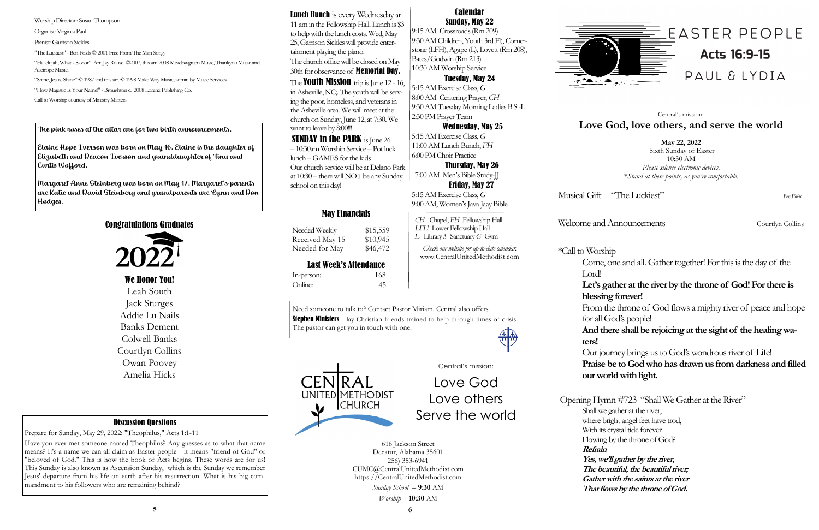Musical Gift "The Luckiest" *Ben Folds* 

Welcome and Announcements Courtlyn Collins

Come, one and all. Gather together! For this is the day of the

# **Let's gather at the river by the throne of God! For there is blessing forever!**

\*Call to Worship Lord! **ters!** 

From the throne of God flows a mighty river of peace and hope for all God's people!

**And there shall be rejoicing at the sight of the healing wa-**

Opening Hymn #723 "Shall We Gather at the River" Shall we gather at the river, where bright angel feet have trod, With its crystal tide forever Flowing by the throne of God? **Yes, we'll gather by the river, The beautiful, the beautiful river; Gather with the saints at the river That flows by the throne of God.**

Need someone to talk to? Contact Pastor Miriam. Central also offers **Stephen Ministers**—lay Christian friends trained to help through times of crisis.

> Our journey brings us to God's wondrous river of Life! **Praise be to God who has drawn us from darkness and filled our world with light.**

# **Refrain**



The pastor can get you in touch with one.

# May Financials

Needed Weekly \$15,559 Received May 15 \$10,945 Needed for May \$46,472

# Last Week's Attendance

In-person: 168 Online: 45

**May 22, 2022** Sixth Sunday of Easter 10:30 AM *Please silence electronic devices*. \**Stand at these points, as you're comfortable.*

Lunch Bunch is every Wednesday at 11 am in the Fellowship Hall. Lunch is \$3 to help with the lunch costs. Wed, May 25, Garrison Sickles will provide entertainment playing the piano. The church office will be closed on May

# Central's mission: **Love God, love others, and serve the world**



616 Jackson Street Decatur, Alabama 35601 256) 353-6941 CUMC@CentralUnitedMethodist.com https://CentralUnitedMethodist.com

**SUNDAY in the PARK** is June 26 – 10:30am Worship Service – Pot luck lunch –GAMES for the kids Our church service will be at Delano Park at 10:30 – there will NOT be any Sunday school on this day!

> *Sunday School* – **9**:**30** AM *Worship* – **10**:**30** AM

# Calendar Sunday, May 22

9:15 AM Crossroads (Rm 209) 9:30 AM Children, Youth 3rd Fl), Cornerstone (LFH), Agape (L), Lovett (Rm 208), Bates/Godwin (Rm 213) 10:30 AM Worship Service

# Tuesday, May 24

5:15 AM Exercise Class, *G*  8:00 AM Centering Prayer, *CH* 9:30 AM Tuesday Morning Ladies B.S.-L 2:30 PM Prayer Team

## Wednesday, May 25

5:15 AM Exercise Class, *G*  11:00 AM Lunch Bunch, *FH* 6:00 PM Choir Practice

Thursday, May 26

 7:00 AM Men's Bible Study-JJ Friday, May 27 5:15 AM Exercise Class, *G*  9:00 AM, Women's Java Jaay Bible

 *——————————————— CH–* Chapel, *FH*- Fellowship Hall  *LFH*- Lower Fellowship Hall *L -* Library *S*- Sanctuary *G*- Gym

*Check our website for up-to-date calendar.* www.CentralUnitedMethodist.com



30th for observance of Memorial Day.

The **Youth Mission** trip is June 12 - 16, in Asheville, NC;. The youth will be serving the poor, homeless, and veterans in the Asheville area. We will meet at the church on Sunday, June 12, at 7:30. We want to leave by 8:00!!!

# Discussion Questions

Prepare for Sunday, May 29, 2022: "Theophilus," Acts 1:1-11

Have you ever met someone named Theophilus? Any guesses as to what that name means? It's a name we can all claim as Easter people—it means "friend of God" or "beloved of God." This is how the book of Acts begins. These words are for us! This Sunday is also known as Ascension Sunday, which is the Sunday we remember Jesus' departure from his life on earth after his resurrection. What is his big commandment to his followers who are remaining behind?

The pink roses at the altar are for two birth announcements.

Elaine Hope Iverson was born on May 16. Elaine is the daughter of Elizabeth and Deacon Iverson and granddaughter of Tina and Curtis Wofford.

Margaret Anne Steinberg was born on May 17. Margaret's parents are Katie and David Steinberg and grandparents are Lynn and Don Hodges.

# Congratulations Graduates



# We Honor You!

Leah South Jack Sturges Addie Lu Nails Banks Dement Colwell Banks Courtlyn Collins Owan Poovey Amelia Hicks

Worship Director:: Susan Thompson

Organist: Virginia Paul

Pianist: Garrison Sickles

"The Luckiest" - Ben Folds © 2001 Free From The Man Songs

"Hallelujah, What a Savior" Arr. Jay Rouse ©2007, this arr. 2008 Meadowgreen Music, Thankyou Music and Alletrope Music.

"Shine, Jesus, Shine" © 1987 and this arr. © 1998 Make Way Music, admin by Music Services

"How Majestic Is Your Name!" -Broughton c. 2008 Lorenz Publishing Co.

Call to Worship courtesy of Ministry Matters